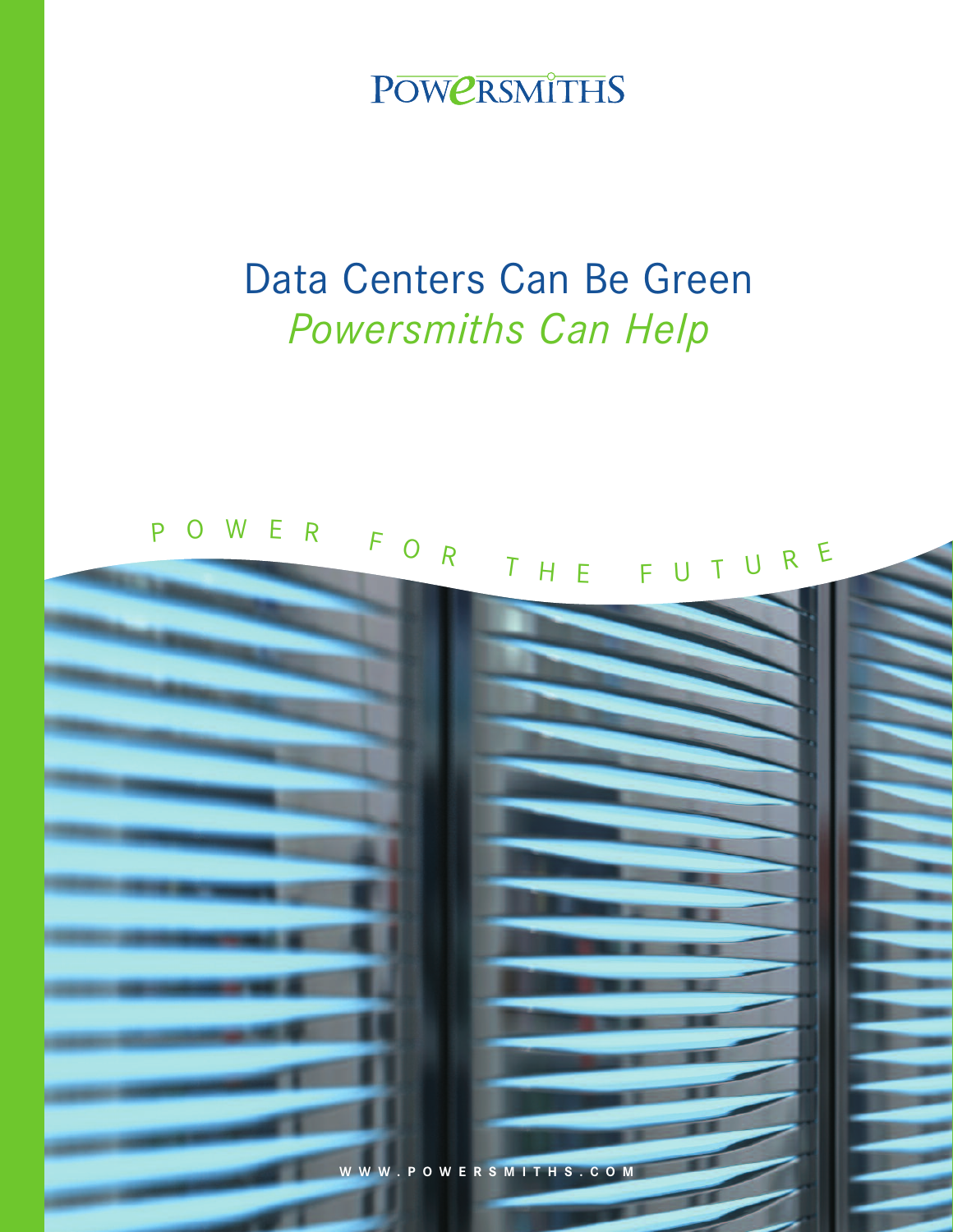POWPRSMITHS

# Data Centers Can Be Green *Powersmiths Can Help*

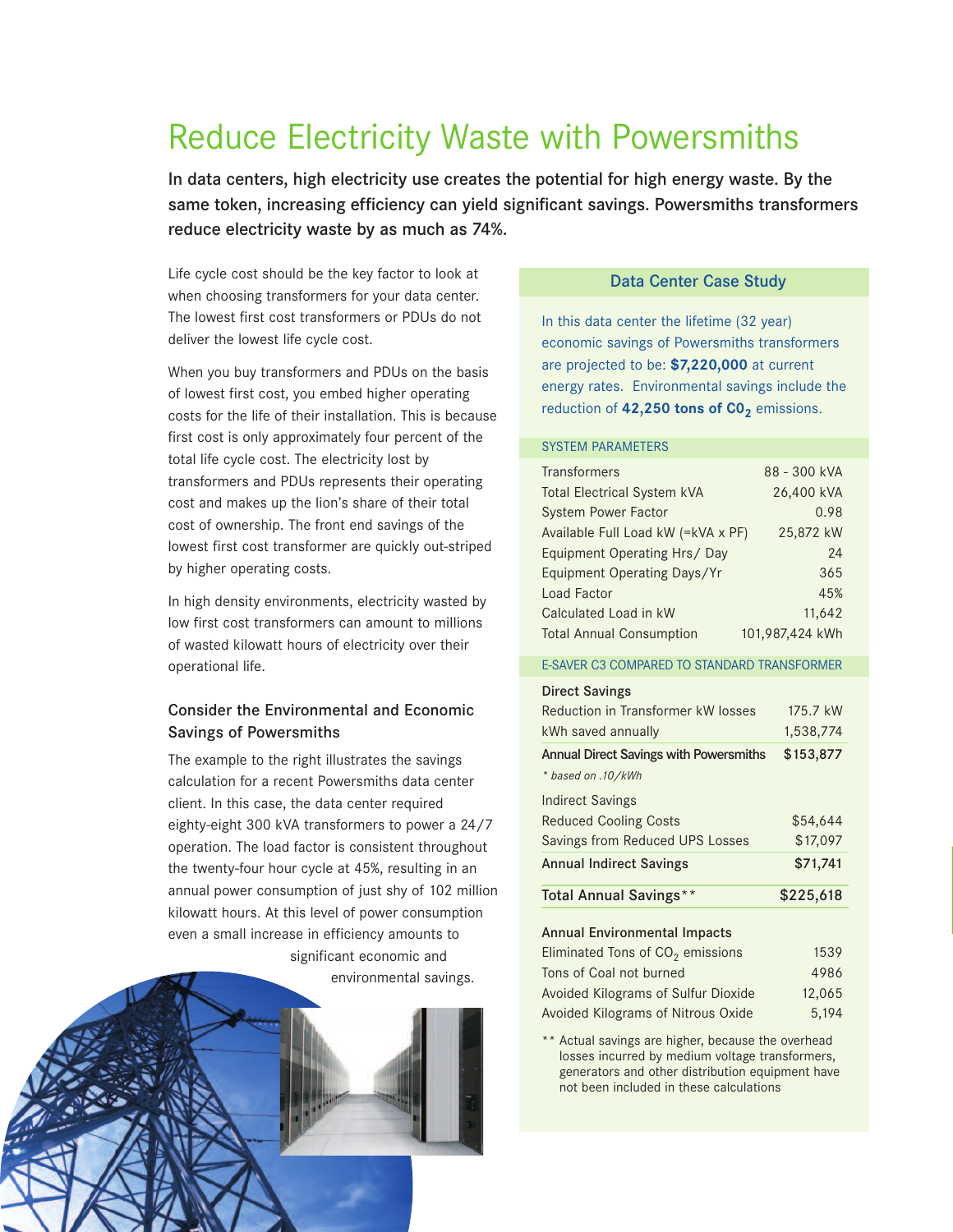# Reduce Electricity Waste with Powersmiths

In data centers, high electricity use creates the potential for high energy waste. By the same token, increasing efficiency can yield significant savings. Powersmiths transformers reduce electricity waste by as much as 74%.

Life cycle cost should be the key factor to look at when choosing transformers for your data center. The lowest first cost transformers or PDUs do not deliver the lowest life cycle cost.

When you buy transformers and PDUs on the basis of lowest first cost, you embed higher operating costs for the life of their installation. This is because first cost is only approximately four percent of the total life cycle cost. The electricity lost by transformers and PDUs represents their operating cost and makes up the lion's share of their total cost of ownership. The front end savings of the lowest first cost transformer are quickly out-striped by higher operating costs.

In high density environments, electricity wasted by low first cost transformers can amount to millions of wasted kilowatt hours of electricity over their operational life.

### Consider the Environmental and Economic Savings of Powersmiths

The example to the right illustrates the savings calculation for a recent Powersmiths data center client. In this case, the data center required eighty-eight 300 kVA transformers to power a 24/7 operation. The load factor is consistent throughout the twenty-four hour cycle at 45%, resulting in an annual power consumption of just shy of 102 million kilowatt hours. At this level of power consumption even a small increase in efficiency amounts to significant economic and environmental savings.

### Data Center Case Study

In this data center the lifetime (32 year) economic savings of Powersmiths transformers are projected to be: **\$7,220,000** at current energy rates. Environmental savings include the reduction of 42,250 tons of CO<sub>2</sub> emissions.

#### SYSTEM PARAMETERS

| <b>Transformers</b>                | 88 - 300 kVA    |
|------------------------------------|-----------------|
| <b>Total Electrical System kVA</b> | 26,400 kVA      |
| <b>System Power Factor</b>         | 0.98            |
| Available Full Load kW (=kVA x PF) | 25,872 kW       |
| Equipment Operating Hrs/Day        | 24              |
| Equipment Operating Days/Yr        | 365             |
| Load Factor                        | 45%             |
| Calculated Load in kW              | 11,642          |
| <b>Total Annual Consumption</b>    | 101,987,424 kWh |

#### E-SAVER C3 COMPARED TO STANDARD TRANSFORMER

| <b>Direct Savings</b>                         |           |
|-----------------------------------------------|-----------|
| Reduction in Transformer kW losses            | 175.7 kW  |
| kWh saved annually                            | 1,538,774 |
| <b>Annual Direct Savings with Powersmiths</b> | \$153,877 |
| * based on .10/kWh                            |           |
| <b>Indirect Savings</b>                       |           |
| <b>Reduced Cooling Costs</b>                  | \$54,644  |
| Savings from Reduced UPS Losses               | \$17,097  |
| <b>Annual Indirect Savings</b>                | \$71,741  |
| Total Annual Savings**                        | \$225,618 |
| <b>Annual Environmental Impacts</b>           |           |
|                                               |           |

| Eliminated Tons of $CO2$ emissions  | 1539   |
|-------------------------------------|--------|
| Tons of Coal not burned             | 4986   |
| Avoided Kilograms of Sulfur Dioxide | 12.065 |
| Avoided Kilograms of Nitrous Oxide  | 5.194  |

\*\* Actual savings are higher, because the overhead losses incurred by medium voltage transformers, generators and other distribution equipment have not been included in these calculations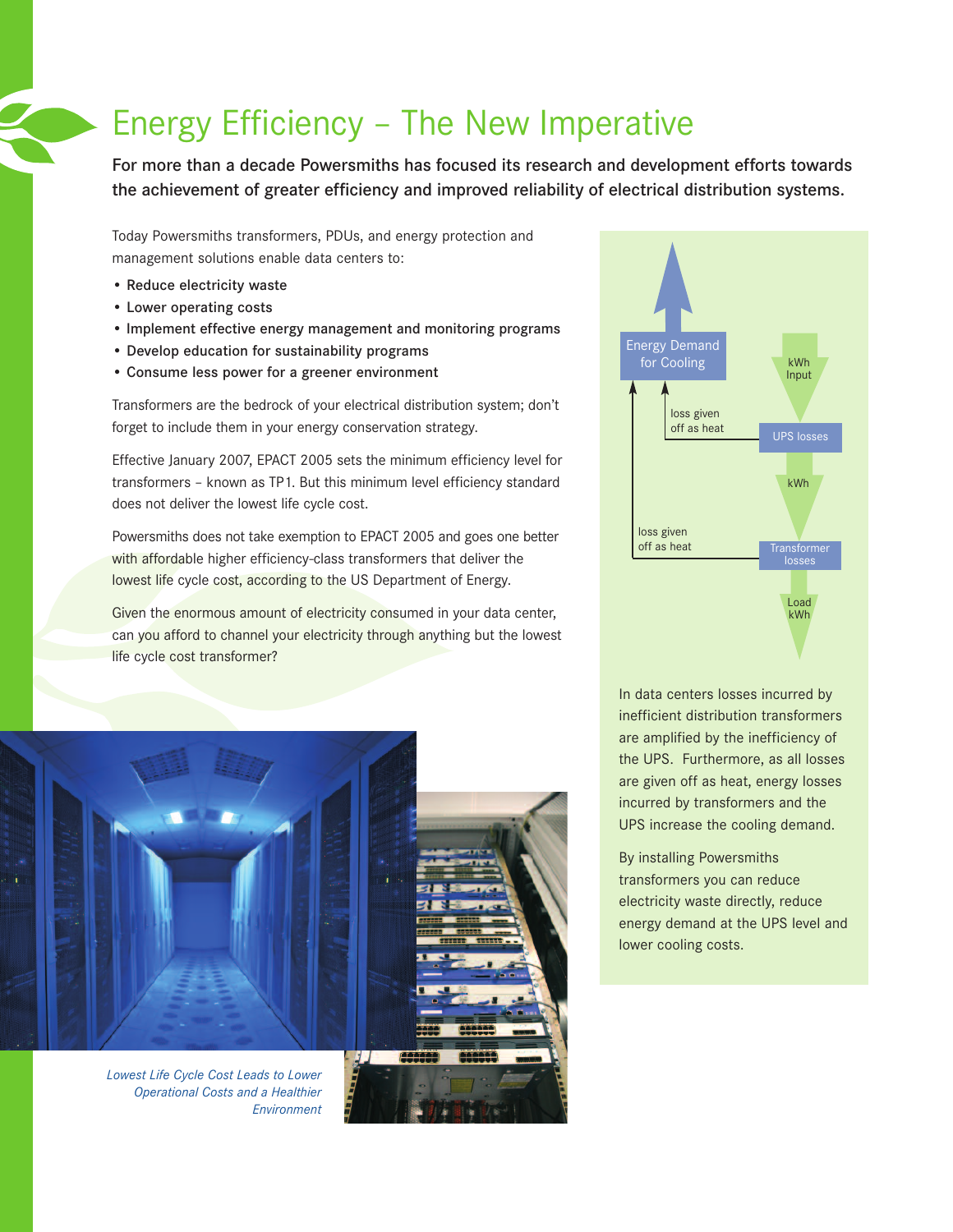# Energy Efficiency – The New Imperative

For more than a decade Powersmiths has focused its research and development efforts towards the achievement of greater efficiency and improved reliability of electrical distribution systems.

Today Powersmiths transformers, PDUs, and energy protection and management solutions enable data centers to:

- Reduce electricity waste
- Lower operating costs
- Implement effective energy management and monitoring programs
- Develop education for sustainability programs
- Consume less power for a greener environment

Transformers are the bedrock of your electrical distribution system; don't forget to include them in your energy conservation strategy.

Effective January 2007, EPACT 2005 sets the minimum efficiency level for transformers – known as TP1. But this minimum level efficiency standard does not deliver the lowest life cycle cost.

Powersmiths does not take exemption to EPACT 2005 and goes one better with affordable higher efficiency-class transformers that deliver the lowest life cycle cost, according to the US Department of Energy.

Given the enormous amount of electricity consumed in your data center, can you afford to channel your electricity through anything but the lowest life cycle cost transformer?



*Lowest Life Cycle Cost Leads to Lower Operational Costs and a Healthier Environment* 



In data centers losses incurred by inefficient distribution transformers are amplified by the inefficiency of the UPS. Furthermore, as all losses are given off as heat, energy losses incurred by transformers and the UPS increase the cooling demand.

By installing Powersmiths transformers you can reduce electricity waste directly, reduce energy demand at the UPS level and lower cooling costs.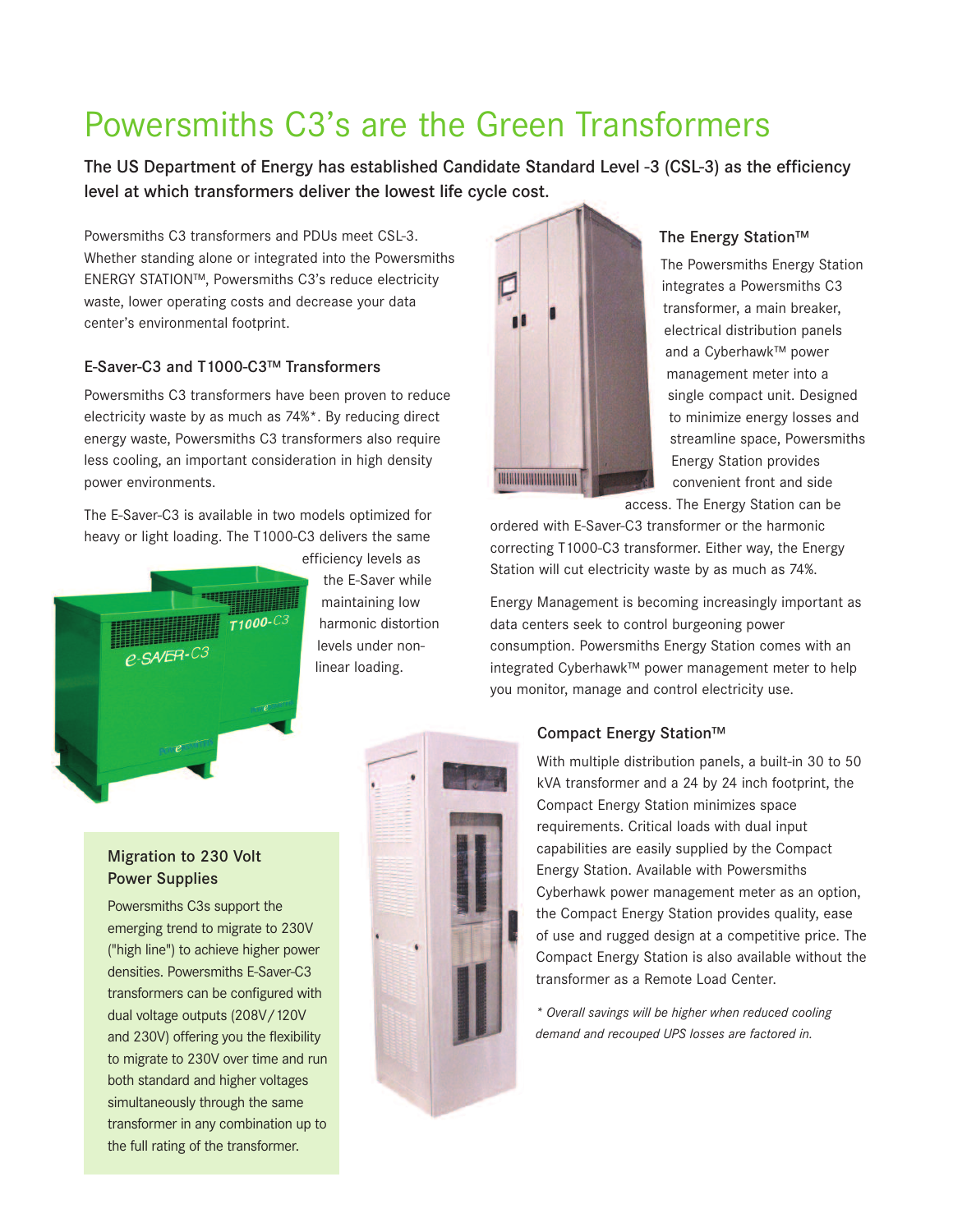# Powersmiths C3's are the Green Transformers

The US Department of Energy has established Candidate Standard Level -3 (CSL-3) as the efficiency level at which transformers deliver the lowest life cycle cost.

Powersmiths C3 transformers and PDUs meet CSL-3. Whether standing alone or integrated into the Powersmiths ENERGY STATION™, Powersmiths C3's reduce electricity waste, lower operating costs and decrease your data center's environmental footprint.

#### E-Saver-C3 and T1000-C3™ Transformers

Powersmiths C3 transformers have been proven to reduce electricity waste by as much as 74%\*. By reducing direct energy waste, Powersmiths C3 transformers also require less cooling, an important consideration in high density power environments.

The E-Saver-C3 is available in two models optimized for heavy or light loading. The T1000-C3 delivers the same



the E-Saver while maintaining low harmonic distortion levels under nonlinear loading.



#### The Energy Station™

The Powersmiths Energy Station integrates a Powersmiths C3 transformer, a main breaker, electrical distribution panels and a Cyberhawk™ power management meter into a single compact unit. Designed to minimize energy losses and streamline space, Powersmiths Energy Station provides convenient front and side

access. The Energy Station can be

ordered with E-Saver-C3 transformer or the harmonic correcting T1000-C3 transformer. Either way, the Energy Station will cut electricity waste by as much as 74%.

Energy Management is becoming increasingly important as data centers seek to control burgeoning power consumption. Powersmiths Energy Station comes with an integrated Cyberhawk™ power management meter to help you monitor, manage and control electricity use.

### Compact Energy Station™

With multiple distribution panels, a built-in 30 to 50 kVA transformer and a 24 by 24 inch footprint, the Compact Energy Station minimizes space requirements. Critical loads with dual input capabilities are easily supplied by the Compact Energy Station. Available with Powersmiths Cyberhawk power management meter as an option, the Compact Energy Station provides quality, ease of use and rugged design at a competitive price. The Compact Energy Station is also available without the transformer as a Remote Load Center.

*\* Overall savings will be higher when reduced cooling demand and recouped UPS losses are factored in.*

### Migration to 230 Volt Power Supplies

Powersmiths C3s support the emerging trend to migrate to 230V ("high line") to achieve higher power densities. Powersmiths E-Saver-C3 transformers can be configured with dual voltage outputs (208V/120V and 230V) offering you the flexibility to migrate to 230V over time and run both standard and higher voltages simultaneously through the same transformer in any combination up to the full rating of the transformer.

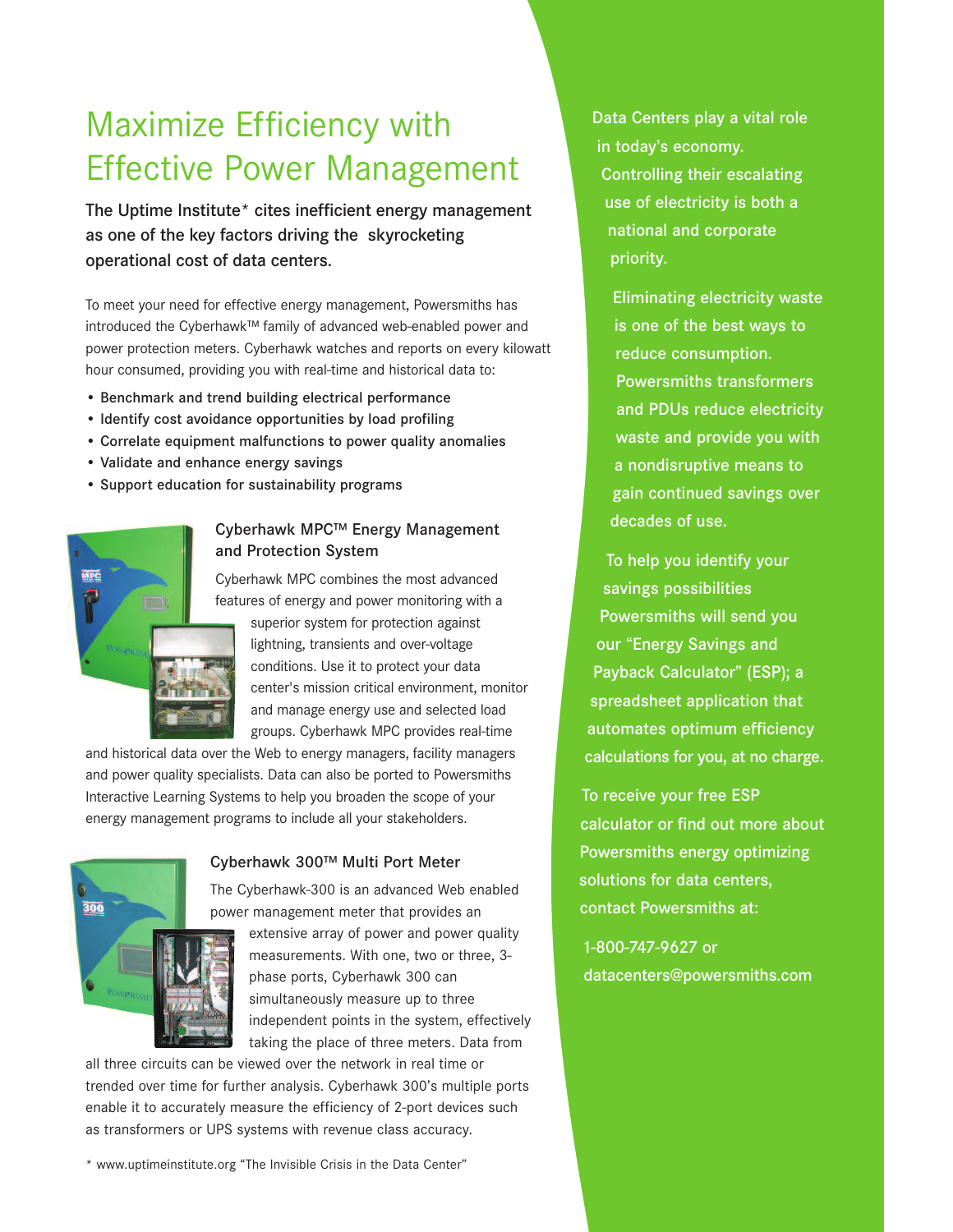# Maximize Efficiency with Effective Power Management

The Uptime Institute\* cites inefficient energy management as one of the key factors driving the skyrocketing operational cost of data centers.

To meet your need for effective energy management, Powersmiths has introduced the Cyberhawk™ family of advanced web-enabled power and power protection meters. Cyberhawk watches and reports on every kilowatt hour consumed, providing you with real-time and historical data to:

- Benchmark and trend building electrical performance
- Identify cost avoidance opportunities by load profiling
- Correlate equipment malfunctions to power quality anomalies
- Validate and enhance energy savings
- Support education for sustainability programs



## Cyberhawk MPC™ Energy Management and Protection System

Cyberhawk MPC combines the most advanced features of energy and power monitoring with a superior system for protection against lightning, transients and over-voltage conditions. Use it to protect your data center's mission critical environment, monitor and manage energy use and selected load groups. Cyberhawk MPC provides real-time

and historical data over the Web to energy managers, facility managers and power quality specialists. Data can also be ported to Powersmiths Interactive Learning Systems to help you broaden the scope of your energy management programs to include all your stakeholders.



#### Cyberhawk 300™ Multi Port Meter

The Cyberhawk-300 is an advanced Web enabled power management meter that provides an extensive array of power and power quality measurements. With one, two or three, 3 phase ports, Cyberhawk 300 can

simultaneously measure up to three independent points in the system, effectively taking the place of three meters. Data from

all three circuits can be viewed over the network in real time or trended over time for further analysis. Cyberhawk 300's multiple ports enable it to accurately measure the efficiency of 2-port devices such as transformers or UPS systems with revenue class accuracy.

\* www.uptimeinstitute.org "The Invisible Crisis in the Data Center"

Data Centers play a vital role in today's economy. Controlling their escalating use of electricity is both a national and corporate priority.

Eliminating electricity waste is one of the best ways to reduce consumption. Powersmiths transformers and PDUs reduce electricity waste and provide you with a nondisruptive means to gain continued savings over decades of use.

To help you identify your savings possibilities Powersmiths will send you our "Energy Savings and Payback Calculator" (ESP); a spreadsheet application that automates optimum efficiency calculations for you, at no charge.

To receive your free ESP calculator or find out more about Powersmiths energy optimizing solutions for data centers, contact Powersmiths at:

1-800-747-9627 or datacenters@powersmiths.com